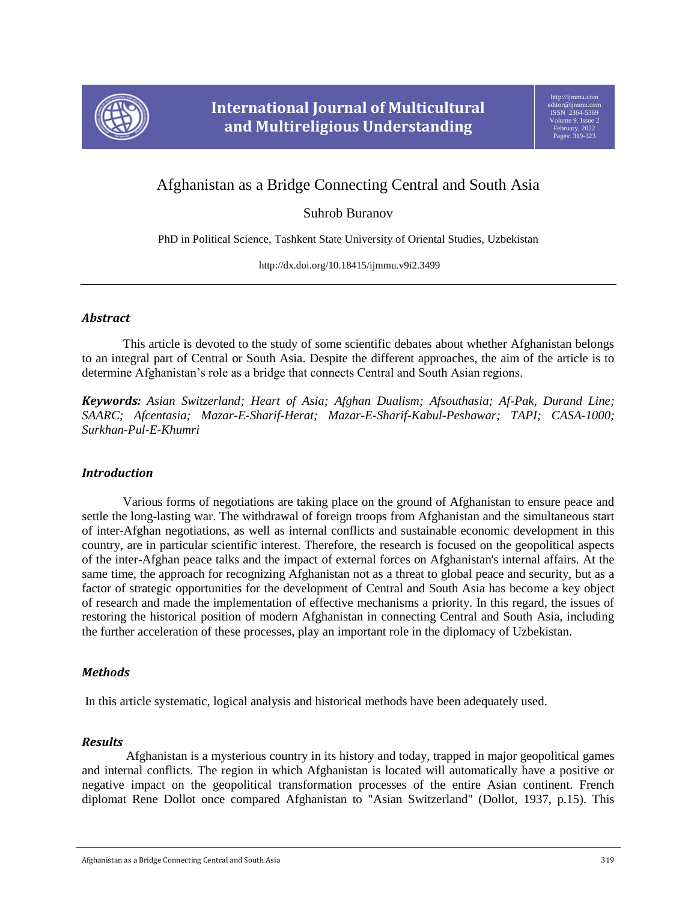

# Afghanistan as a Bridge Connecting Central and South Asia

Suhrob Buranov

PhD in Political Science, Tashkent State University of Oriental Studies, Uzbekistan

http://dx.doi.org/10.18415/ijmmu.v9i2.3499

## *Abstract*

This article is devoted to the study of some scientific debates about whether Afghanistan belongs to an integral part of Central or South Asia. Despite the different approaches, the aim of the article is to determine Afghanistan's role as a bridge that connects Central and South Asian regions.

*Keywords: Asian Switzerland; Heart of Asia; Afghan Dualism; Afsouthasia; Af-Pak, Durand Line; SAARC; Afcentasia; Mazar-E-Sharif-Herat; Mazar-E-Sharif-Kabul-Peshawar; TAPI; CASA-1000; Surkhan-Pul-E-Khumri*

# *Introduction*

Various forms of negotiations are taking place on the ground of Afghanistan to ensure peace and settle the long-lasting war. The withdrawal of foreign troops from Afghanistan and the simultaneous start of inter-Afghan negotiations, as well as internal conflicts and sustainable economic development in this country, are in particular scientific interest. Therefore, the research is focused on the geopolitical aspects of the inter-Afghan peace talks and the impact of external forces on Afghanistan's internal affairs. At the same time, the approach for recognizing Afghanistan not as a threat to global peace and security, but as a factor of strategic opportunities for the development of Central and South Asia has become a key object of research and made the implementation of effective mechanisms a priority. In this regard, the issues of restoring the historical position of modern Afghanistan in connecting Central and South Asia, including the further acceleration of these processes, play an important role in the diplomacy of Uzbekistan.

# *Methods*

In this article systematic, logical analysis and historical methods have been adequately used.

## *Results*

Afghanistan is a mysterious country in its history and today, trapped in major geopolitical games and internal conflicts. The region in which Afghanistan is located will automatically have a positive or negative impact on the geopolitical transformation processes of the entire Asian continent. French diplomat Rene Dollot once compared Afghanistan to "Asian Switzerland" (Dollot, 1937, p.15). This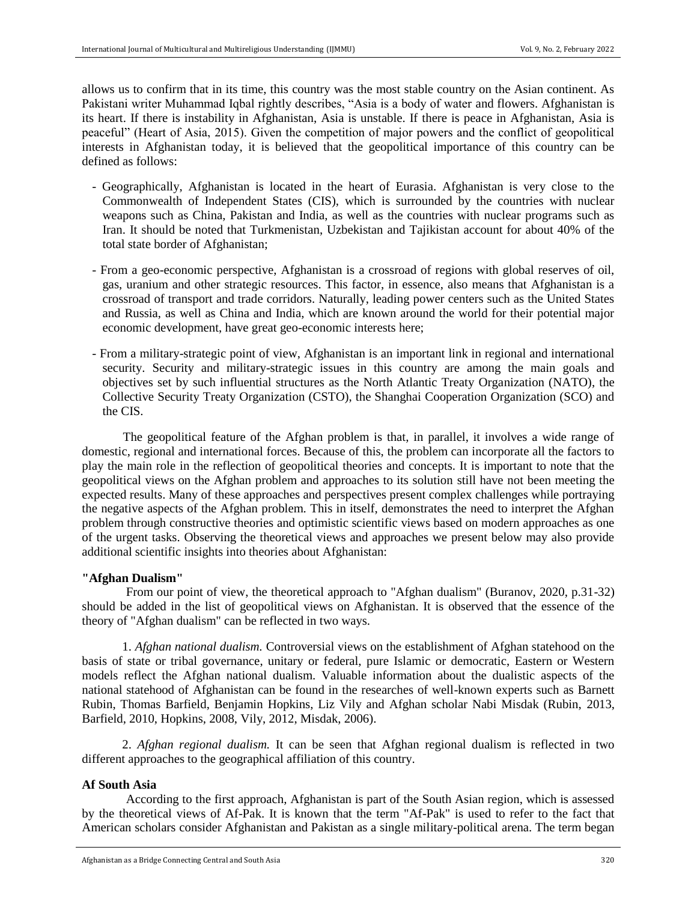allows us to confirm that in its time, this country was the most stable country on the Asian continent. As Pakistani writer Muhammad Iqbal rightly describes, "Asia is a body of water and flowers. Afghanistan is its heart. If there is instability in Afghanistan, Asia is unstable. If there is peace in Afghanistan, Asia is peaceful" (Heart of Asia, 2015). Given the competition of major powers and the conflict of geopolitical interests in Afghanistan today, it is believed that the geopolitical importance of this country can be defined as follows:

- Geographically, Afghanistan is located in the heart of Eurasia. Afghanistan is very close to the Commonwealth of Independent States (CIS), which is surrounded by the countries with nuclear weapons such as China, Pakistan and India, as well as the countries with nuclear programs such as Iran. It should be noted that Turkmenistan, Uzbekistan and Tajikistan account for about 40% of the total state border of Afghanistan;
- From a geo-economic perspective, Afghanistan is a crossroad of regions with global reserves of oil, gas, uranium and other strategic resources. This factor, in essence, also means that Afghanistan is a crossroad of transport and trade corridors. Naturally, leading power centers such as the United States and Russia, as well as China and India, which are known around the world for their potential major economic development, have great geo-economic interests here;
- From a military-strategic point of view, Afghanistan is an important link in regional and international security. Security and military-strategic issues in this country are among the main goals and objectives set by such influential structures as the North Atlantic Treaty Organization (NATO), the Collective Security Treaty Organization (CSTO), the Shanghai Cooperation Organization (SCO) and the CIS.

The geopolitical feature of the Afghan problem is that, in parallel, it involves a wide range of domestic, regional and international forces. Because of this, the problem can incorporate all the factors to play the main role in the reflection of geopolitical theories and concepts. It is important to note that the geopolitical views on the Afghan problem and approaches to its solution still have not been meeting the expected results. Many of these approaches and perspectives present complex challenges while portraying the negative aspects of the Afghan problem. This in itself, demonstrates the need to interpret the Afghan problem through constructive theories and optimistic scientific views based on modern approaches as one of the urgent tasks. Observing the theoretical views and approaches we present below may also provide additional scientific insights into theories about Afghanistan:

#### **"Afghan Dualism"**

From our point of view, the theoretical approach to "Afghan dualism" (Buranov, 2020, p.31-32) should be added in the list of geopolitical views on Afghanistan. It is observed that the essence of the theory of "Afghan dualism" can be reflected in two ways.

1. *Afghan national dualism.* Controversial views on the establishment of Afghan statehood on the basis of state or tribal governance, unitary or federal, pure Islamic or democratic, Eastern or Western models reflect the Afghan national dualism. Valuable information about the dualistic aspects of the national statehood of Afghanistan can be found in the researches of well-known experts such as Barnett Rubin, Thomas Barfield, Benjamin Hopkins, Liz Vily and Afghan scholar Nabi Misdak (Rubin, 2013, Barfield, 2010, Hopkins, 2008, Vily, 2012, Misdak, 2006).

2. *Afghan regional dualism.* It can be seen that Afghan regional dualism is reflected in two different approaches to the geographical affiliation of this country.

#### **Af South Asia**

According to the first approach, Afghanistan is part of the South Asian region, which is assessed by the theoretical views of Af-Pak. It is known that the term "Af-Pak" is used to refer to the fact that American scholars consider Afghanistan and Pakistan as a single military-political arena. The term began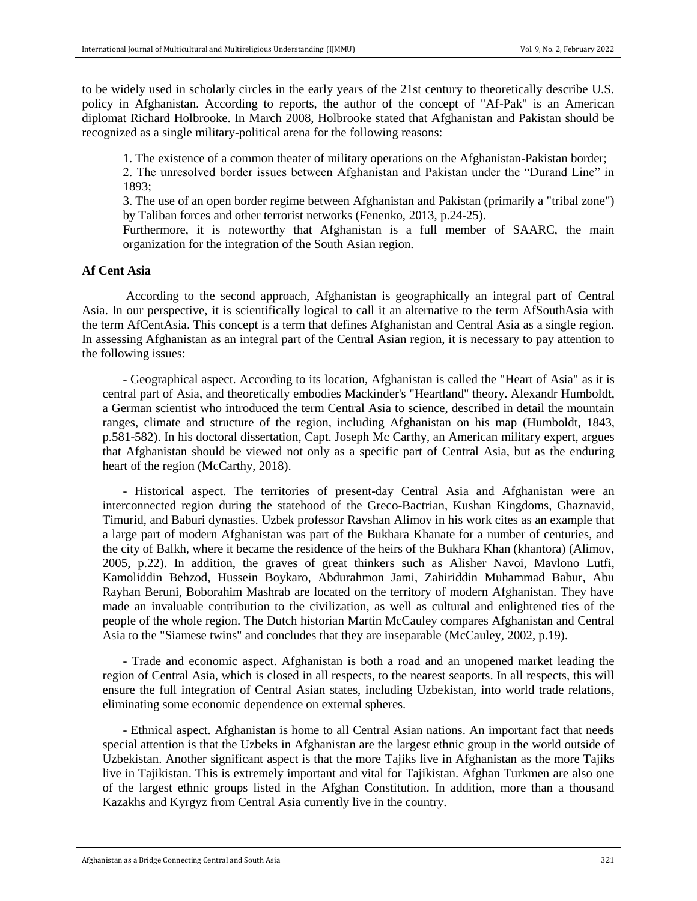to be widely used in scholarly circles in the early years of the 21st century to theoretically describe U.S. policy in Afghanistan. According to reports, the author of the concept of "Af-Pak" is an American diplomat Richard Holbrooke. In March 2008, Holbrooke stated that Afghanistan and Pakistan should be recognized as a single military-political arena for the following reasons:

1. The existence of a common theater of military operations on the Afghanistan-Pakistan border;

2. The unresolved border issues between Afghanistan and Pakistan under the "Durand Line" in 1893;

3. The use of an open border regime between Afghanistan and Pakistan (primarily a "tribal zone") by Taliban forces and other terrorist networks (Fenenko, 2013, p.24-25).

Furthermore, it is noteworthy that Afghanistan is a full member of SAARC, the main organization for the integration of the South Asian region.

#### **Af Cent Asia**

According to the second approach, Afghanistan is geographically an integral part of Central Asia. In our perspective, it is scientifically logical to call it an alternative to the term AfSouthAsia with the term AfCentAsia. This concept is a term that defines Afghanistan and Central Asia as a single region. In assessing Afghanistan as an integral part of the Central Asian region, it is necessary to pay attention to the following issues:

- Geographical aspect. According to its location, Afghanistan is called the "Heart of Asia" as it is central part of Asia, and theoretically embodies Mackinder's "Heartland" theory. Alexandr Humboldt, a German scientist who introduced the term Central Asia to science, described in detail the mountain ranges, climate and structure of the region, including Afghanistan on his map (Humboldt, 1843, p.581-582). In his doctoral dissertation, Capt. Joseph Mc Carthy, an American military expert, argues that Afghanistan should be viewed not only as a specific part of Central Asia, but as the enduring heart of the region (McCarthy, 2018).

- Historical aspect. The territories of present-day Central Asia and Afghanistan were an interconnected region during the statehood of the Greco-Bactrian, Kushan Kingdoms, Ghaznavid, Timurid, and Baburi dynasties. Uzbek professor Ravshan Alimov in his work cites as an example that a large part of modern Afghanistan was part of the Bukhara Khanate for a number of centuries, and the city of Balkh, where it became the residence of the heirs of the Bukhara Khan (khantora) (Alimov, 2005, p.22). In addition, the graves of great thinkers such as Alisher Navoi, Mavlono Lutfi, Kamoliddin Behzod, Hussein Boykaro, Abdurahmon Jami, Zahiriddin Muhammad Babur, Abu Rayhan Beruni, Boborahim Mashrab are located on the territory of modern Afghanistan. They have made an invaluable contribution to the civilization, as well as cultural and enlightened ties of the people of the whole region. The Dutch historian Martin McCauley compares Afghanistan and Central Asia to the "Siamese twins" and concludes that they are inseparable (McCauley, 2002, p.19).

- Trade and economic aspect. Afghanistan is both a road and an unopened market leading the region of Central Asia, which is closed in all respects, to the nearest seaports. In all respects, this will ensure the full integration of Central Asian states, including Uzbekistan, into world trade relations, eliminating some economic dependence on external spheres.

- Ethnical aspect. Afghanistan is home to all Central Asian nations. An important fact that needs special attention is that the Uzbeks in Afghanistan are the largest ethnic group in the world outside of Uzbekistan. Another significant aspect is that the more Tajiks live in Afghanistan as the more Tajiks live in Tajikistan. This is extremely important and vital for Tajikistan. Afghan Turkmen are also one of the largest ethnic groups listed in the Afghan Constitution. In addition, more than a thousand Kazakhs and Kyrgyz from Central Asia currently live in the country.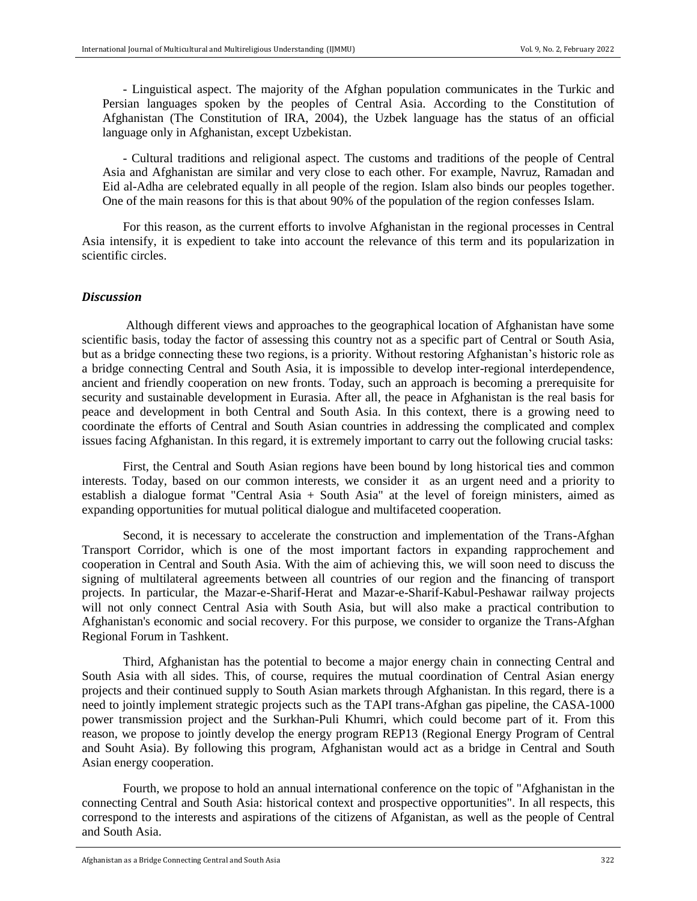- Linguistical aspect. The majority of the Afghan population communicates in the Turkic and Persian languages spoken by the peoples of Central Asia. According to the Constitution of Afghanistan (The Constitution of IRA, 2004), the Uzbek language has the status of an official language only in Afghanistan, except Uzbekistan.

- Cultural traditions and religional aspect. The customs and traditions of the people of Central Asia and Afghanistan are similar and very close to each other. For example, Navruz, Ramadan and Eid al-Adha are celebrated equally in all people of the region. Islam also binds our peoples together. One of the main reasons for this is that about 90% of the population of the region confesses Islam.

For this reason, as the current efforts to involve Afghanistan in the regional processes in Central Asia intensify, it is expedient to take into account the relevance of this term and its popularization in scientific circles.

#### *Discussion*

Although different views and approaches to the geographical location of Afghanistan have some scientific basis, today the factor of assessing this country not as a specific part of Central or South Asia, but as a bridge connecting these two regions, is a priority. Without restoring Afghanistan's historic role as a bridge connecting Central and South Asia, it is impossible to develop inter-regional interdependence, ancient and friendly cooperation on new fronts. Today, such an approach is becoming a prerequisite for security and sustainable development in Eurasia. After all, the peace in Afghanistan is the real basis for peace and development in both Central and South Asia. In this context, there is a growing need to coordinate the efforts of Central and South Asian countries in addressing the complicated and complex issues facing Afghanistan. In this regard, it is extremely important to carry out the following crucial tasks:

First, the Central and South Asian regions have been bound by long historical ties and common interests. Today, based on our common interests, we consider it as an urgent need and a priority to establish a dialogue format "Central Asia + South Asia" at the level of foreign ministers, aimed as expanding opportunities for mutual political dialogue and multifaceted cooperation.

Second, it is necessary to accelerate the construction and implementation of the Trans-Afghan Transport Corridor, which is one of the most important factors in expanding rapprochement and cooperation in Central and South Asia. With the aim of achieving this, we will soon need to discuss the signing of multilateral agreements between all countries of our region and the financing of transport projects. In particular, the Mazar-e-Sharif-Herat and Mazar-e-Sharif-Kabul-Peshawar railway projects will not only connect Central Asia with South Asia, but will also make a practical contribution to Afghanistan's economic and social recovery. For this purpose, we consider to organize the Trans-Afghan Regional Forum in Tashkent.

Third, Afghanistan has the potential to become a major energy chain in connecting Central and South Asia with all sides. This, of course, requires the mutual coordination of Central Asian energy projects and their continued supply to South Asian markets through Afghanistan. In this regard, there is a need to jointly implement strategic projects such as the TAPI trans-Afghan gas pipeline, the CASA-1000 power transmission project and the Surkhan-Puli Khumri, which could become part of it. From this reason, we propose to jointly develop the energy program REP13 (Regional Energy Program of Central and Souht Asia). By following this program, Afghanistan would act as a bridge in Central and South Asian energy cooperation.

Fourth, we propose to hold an annual international conference on the topic of "Afghanistan in the connecting Central and South Asia: historical context and prospective opportunities". In all respects, this correspond to the interests and aspirations of the citizens of Afganistan, as well as the people of Central and South Asia.